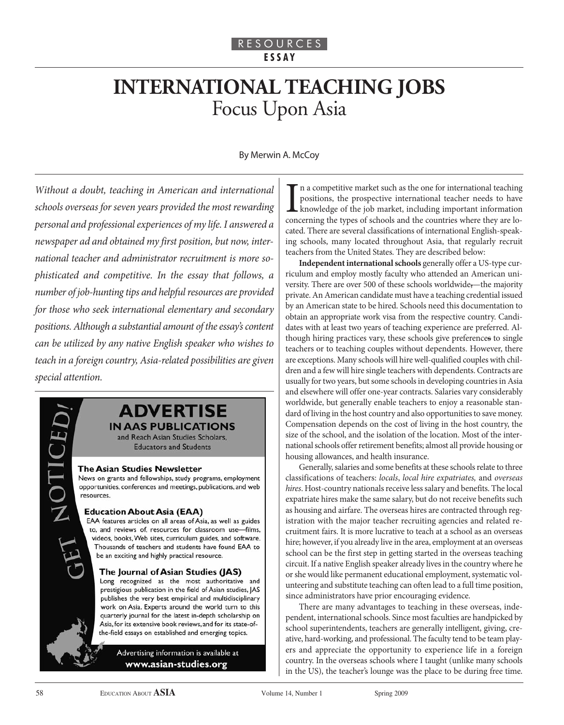# **INTERNATIONAL TEACHING JOBS** Focus Upon Asia

#### By Merwin A. McCoy

Without a doubt, teaching in American and international schools overseas for seven years provided the most rewarding personal and professional experiences of my life. I answered a newspaper ad and obtained my first position, but now, international teacher and administrator recruitment is more sophisticated and competitive. In the essay that follows, a number of job-hunting tips and helpful resources are provided for those who seek international elementary and secondary positions. Although a substantial amount of the essay's content can be utilized by any native English speaker who wishes to teach in a foreign country, Asia-related possibilities are given special attention.

# **ADVERTISE IN AAS PUBLICATIONS**

and Reach Asian Studies Scholars, **Educators and Students** 

#### **The Asian Studies Newsletter**

News on grants and fellowships, study programs, employment opportunities, conferences and meetings, publications, and web resources.

#### **Education About Asia (EAA)**

EAA features articles on all areas of Asia, as well as guides to, and reviews of, resources for classroom use-films, videos, books, Web sites, curriculum guides, and software. Thousands of teachers and students have found EAA to be an exciting and highly practical resource.

#### The Journal of Asian Studies (JAS)

Long recognized as the most authoritative and prestigious publication in the field of Asian studies, JAS publishes the very best empirical and multidisciplinary work on Asia. Experts around the world turn to this quarterly journal for the latest in-depth scholarship on Asia, for its extensive book reviews, and for its state-ofthe-field essays on established and emerging topics.

> Advertising information is available at www.asian-studies.org

In a competitive market such as the one for international teaching positions, the prospective international teacher needs to have knowledge of the job market, including important information concerning the types of schools n a competitive market such as the one for international teaching positions, the prospective international teacher needs to have knowledge of the job market, including important information cated. There are several classifications of international English-speaking schools, many located throughout Asia, that regularly recruit teachers from the United States. They are described below:

**Independent international schools** generally offer a US-type curriculum and employ mostly faculty who attended an American university. There are over 500 of these schools worldwide,—the majority private. An American candidate must have a teaching credential issued by an American state to be hired. Schools need this documentation to obtain an appropriate work visa from the respective country. Candidates with at least two years of teaching experience are preferred. Although hiring practices vary, these schools give preferences to single teachers or to teaching couples without dependents. However, there are exceptions. Many schools will hire well-qualified couples with children and a few will hire single teachers with dependents. Contracts are usually for two years, but some schools in developing countries in Asia and elsewhere will offer one-year contracts. Salaries vary considerably worldwide, but generally enable teachers to enjoy a reasonable standard of living in the host country and also opportunities to save money. Compensation depends on the cost of living in the host country, the size of the school, and the isolation of the location. Most of the international schools offer retirement benefits; almost all provide housing or housing allowances, and health insurance.

Generally, salaries and some benefits at these schools relate to three classifications of teachers: locals, local hire expatriates, and overseas hires. Host-country nationals receive less salary and benefits. The local expatriate hires make the same salary, but do not receive benefits such as housing and airfare. The overseas hires are contracted through registration with the major teacher recruiting agencies and related recruitment fairs. It is more lucrative to teach at a school as an overseas hire; however, if you already live in the area, employment at an overseas school can be the first step in getting started in the overseas teaching circuit. If a native English speaker already lives in the country where he or she would like permanent educational employment, systematic volunteering and substitute teaching can often lead to a full time position, since administrators have prior encouraging evidence.

There are many advantages to teaching in these overseas, independent, international schools. Since most faculties are handpicked by school superintendents, teachers are generally intelligent, giving, creative, hard-working, and professional. The faculty tend to be team players and appreciate the opportunity to experience life in a foreign country. In the overseas schools where I taught (unlike many schools in the US), the teacher's lounge was the place to be during free time.

**IH** 

NOTO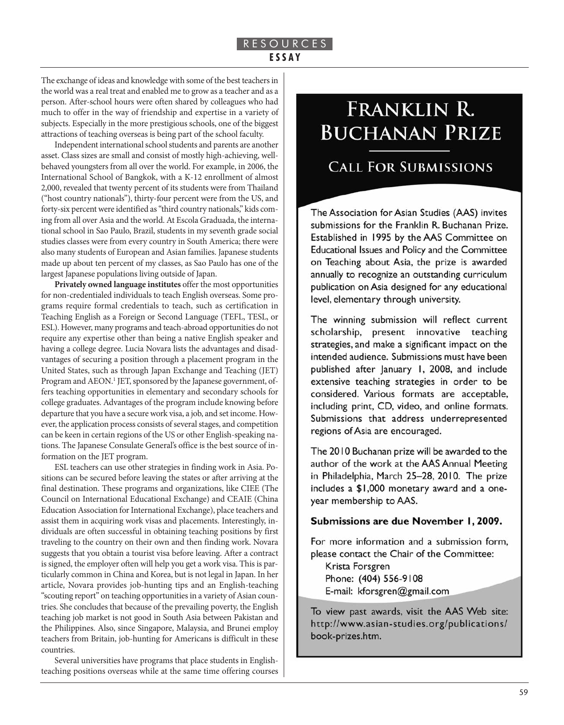### R E S O U R C E S **E S S A Y**

The exchange of ideas and knowledge with some of the best teachers in the world was a real treat and enabled me to grow as a teacher and as a person. After-school hours were often shared by colleagues who had much to offer in the way of friendship and expertise in a variety of subjects. Especially in the more prestigious schools, one of the biggest attractions of teaching overseas is being part of the school faculty.

Independent international school students and parents are another asset. Class sizes are small and consist of mostly high-achieving, wellbehaved youngsters from all over the world. For example, in 2006, the International School of Bangkok, with a K-12 enrollment of almost 2,000, revealed that twenty percent of its students were from Thailand ("host country nationals"), thirty-four percent were from the US, and forty-six percent were identified as "third country nationals," kids coming from all over Asia and the world. At Escola Graduada, the international school in Sao Paulo, Brazil, students in my seventh grade social studies classes were from every country in South America; there were also many students of European and Asian families. Japanese students made up about ten percent of my classes, as Sao Paulo has one of the largest Japanese populations living outside of Japan.

**Privately owned language institutes** offer the most opportunities for non-credentialed individuals to teach English overseas. Some programs require formal credentials to teach, such as certification in Teaching English as a Foreign or Second Language (TEFL, TESL, or ESL). However, many programs and teach-abroad opportunities do not require any expertise other than being a native English speaker and having a college degree. Lucia Novara lists the advantages and disadvantages of securing a position through a placement program in the United States, such as through Japan Exchange and Teaching (JET) Program and AEON.<sup>1</sup> JET, sponsored by the Japanese government, offers teaching opportunities in elementary and secondary schools for college graduates. Advantages of the program include knowing before departure that you have a secure work visa, a job, and set income. However, the application process consists of several stages, and competition can be keen in certain regions of the US or other English-speaking nations. The Japanese Consulate General's office is the best source of information on the JET program.

ESL teachers can use other strategies in finding work in Asia. Positions can be secured before leaving the states or after arriving at the final destination. These programs and organizations, like CIEE (The Council on International Educational Exchange) and CEAIE (China Education Association for International Exchange), place teachers and assist them in acquiring work visas and placements. Interestingly, individuals are often successful in obtaining teaching positions by first traveling to the country on their own and then finding work. Novara suggests that you obtain a tourist visa before leaving. After a contract is signed, the employer often will help you get a work visa. This is particularly common in China and Korea, but is not legal in Japan. In her article, Novara provides job-hunting tips and an English-teaching "scouting report" on teaching opportunities in a variety of Asian countries. She concludes that because of the prevailing poverty, the English teaching job market is not good in South Asia between Pakistan and the Philippines. Also, since Singapore, Malaysia, and Brunei employ teachers from Britain, job-hunting for Americans is difficult in these countries.

Several universities have programs that place students in Englishteaching positions overseas while at the same time offering courses

# FRANKLIN R. **BUCHANAN PRIZE**

# **CALL FOR SUBMISSIONS**

The Association for Asian Studies (AAS) invites submissions for the Franklin R. Buchanan Prize. Established in 1995 by the AAS Committee on Educational Issues and Policy and the Committee on Teaching about Asia, the prize is awarded annually to recognize an outstanding curriculum publication on Asia designed for any educational level, elementary through university.

The winning submission will reflect current scholarship, present innovative teaching strategies, and make a significant impact on the intended audience. Submissions must have been published after January 1, 2008, and include extensive teaching strategies in order to be considered. Various formats are acceptable, including print, CD, video, and online formats. Submissions that address underrepresented regions of Asia are encouraged.

The 2010 Buchanan prize will be awarded to the author of the work at the AAS Annual Meeting in Philadelphia, March 25-28, 2010. The prize includes a \$1,000 monetary award and a oneyear membership to AAS.

### Submissions are due November 1, 2009.

For more information and a submission form, please contact the Chair of the Committee:

Krista Forsgren Phone: (404) 556-9108 E-mail: kforsgren@gmail.com

To view past awards, visit the AAS Web site: http://www.asian-studies.org/publications/ book-prizes.htm.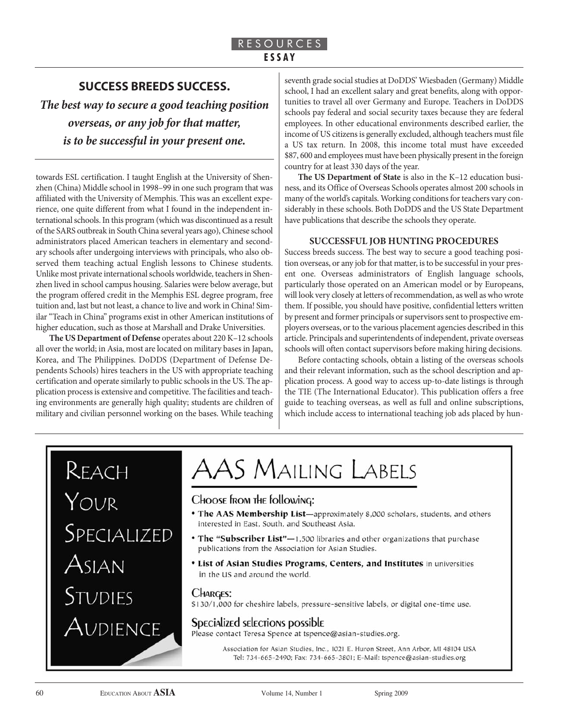# **SUCCESS BREEDS SUCCESS.**

*The best way to secure a good teaching position overseas, or any job for that matter, is to be successful in your present one.*

towards ESL certification. I taught English at the University of Shenzhen (China) Middle school in 1998–99 in one such program that was affiliated with the University of Memphis. This was an excellent experience, one quite different from what I found in the independent international schools. In this program (which was discontinued as a result of the SARS outbreak in South China several years ago), Chinese school administrators placed American teachers in elementary and secondary schools after undergoing interviews with principals, who also observed them teaching actual English lessons to Chinese students. Unlike most private international schools worldwide, teachers in Shenzhen lived in school campus housing. Salaries were below average, but the program offered credit in the Memphis ESL degree program, free tuition and, last but not least, a chance to live and work in China! Similar "Teach in China" programs exist in other American institutions of higher education, such as those at Marshall and Drake Universities.

**The US Department of Defense** operates about 220 K–12 schools all over the world; in Asia, most are located on military bases in Japan, Korea, and The Philippines. DoDDS (Department of Defense Dependents Schools) hires teachers in the US with appropriate teaching certification and operate similarly to public schools in the US. The application process is extensive and competitive. The facilities and teaching environments are generally high quality; students are children of military and civilian personnel working on the bases. While teaching

seventh grade social studies at DoDDS' Wiesbaden (Germany) Middle school, I had an excellent salary and great benefits, along with opportunities to travel all over Germany and Europe. Teachers in DoDDS schools pay federal and social security taxes because they are federal employees. In other educational environments described earlier, the income of US citizens is generally excluded, although teachers must file a US tax return. In 2008, this income total must have exceeded \$87, 600 and employees must have been physically present in the foreign country for at least 330 days of the year.

**The US Department of State** is also in the K–12 education business, and its Office of Overseas Schools operates almost 200 schools in many of the world's capitals. Working conditions for teachers vary considerably in these schools. Both DoDDS and the US State Department have publications that describe the schools they operate.

#### **SUCCESSFUL JOB HUNTING PROCEDURES**

Success breeds success. The best way to secure a good teaching position overseas, or any job for that matter, is to be successful in your present one. Overseas administrators of English language schools, particularly those operated on an American model or by Europeans, will look very closely at letters of recommendation, as well as who wrote them. If possible, you should have positive, confidential letters written by present and former principals or supervisors sent to prospective employers overseas, or to the various placement agencies described in this article. Principals and superintendents of independent, private overseas schools will often contact supervisors before making hiring decisions.

Before contacting schools, obtain a listing of the overseas schools and their relevant information, such as the school description and application process. A good way to access up-to-date listings is through the TIE (The International Educator). This publication offers a free guide to teaching overseas, as well as full and online subscriptions, which include access to international teaching job ads placed by hun-

# REACH

YOUR SPECIALIZED ASIAN STUDIES Audience

# AAS Mailing Labels

# Choose from the following:

- The AAS Membership List-approximately 8,000 scholars, students, and others interested in East. South, and Southeast Asia.
- The "Subscriber List"-1,500 libraries and other organizations that purchase publications from the Association for Asian Studies.
- List of Asian Studies Programs, Centers, and Institutes in universities in the US and around the world.

#### **CHARGES:**

\$130/1,000 for cheshire labels, pressure-sensitive labels, or digital one-time use.

### Specialized selections possible

Please contact Teresa Spence at tspence@asian-studies.org.

Association for Asian Studies, Inc., 1021 E. Huron Street, Ann Arbor, MI 48104 USA Tel: 734-665-2490; Fax: 734-665-3801; E-Mail: tspence@asian-studies.org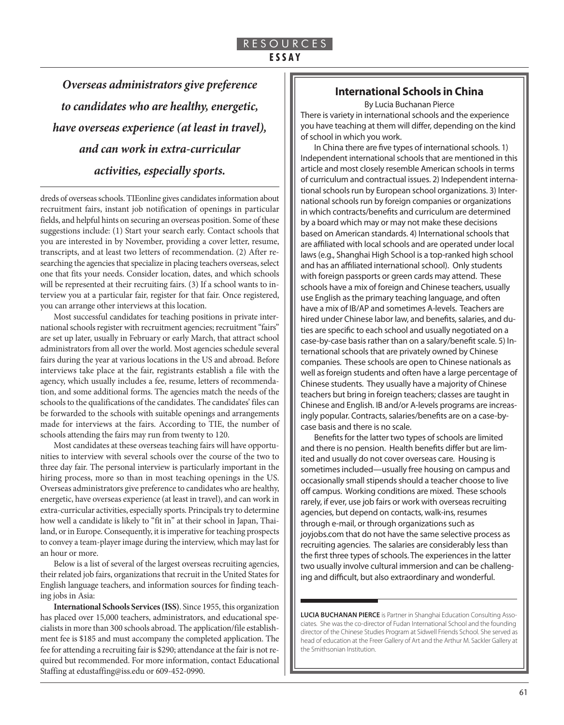*Overseas administrators give preference to candidates who are healthy, energetic, have overseas experience (at least in travel), and can work in extra-curricular activities, especially sports.*

dreds of overseas schools. TIEonline gives candidates information about recruitment fairs, instant job notification of openings in particular fields, and helpful hints on securing an overseas position. Some of these suggestions include: (1) Start your search early. Contact schools that you are interested in by November, providing a cover letter, resume, transcripts, and at least two letters of recommendation. (2) After researching the agencies that specialize in placing teachers overseas, select one that fits your needs. Consider location, dates, and which schools will be represented at their recruiting fairs. (3) If a school wants to interview you at a particular fair, register for that fair. Once registered, you can arrange other interviews at this location.

Most successful candidates for teaching positions in private international schools register with recruitment agencies; recruitment "fairs" are set up later, usually in February or early March, that attract school administrators from all over the world. Most agencies schedule several fairs during the year at various locations in the US and abroad. Before interviews take place at the fair, registrants establish a file with the agency, which usually includes a fee, resume, letters of recommendation, and some additional forms. The agencies match the needs of the schools to the qualifications of the candidates. The candidates' files can be forwarded to the schools with suitable openings and arrangements made for interviews at the fairs. According to TIE, the number of schools attending the fairs may run from twenty to 120.

Most candidates at these overseas teaching fairs will have opportunities to interview with several schools over the course of the two to three day fair. The personal interview is particularly important in the hiring process, more so than in most teaching openings in the US. Overseas administrators give preference to candidates who are healthy, energetic, have overseas experience (at least in travel), and can work in extra-curricular activities, especially sports. Principals try to determine how well a candidate is likely to "fit in" at their school in Japan, Thailand, or in Europe. Consequently, it is imperative for teaching prospects to convey a team-player image during the interview, which may last for an hour or more.

Below is a list of several of the largest overseas recruiting agencies, their related job fairs, organizations that recruit in the United States for English language teachers, and information sources for finding teaching jobs in Asia:

**International Schools Services (ISS)**. Since 1955, this organization has placed over 15,000 teachers, administrators, and educational specialists in more than 300 schools abroad. The application/file establishment fee is \$185 and must accompany the completed application. The fee for attending a recruiting fair is \$290; attendance at the fair is not required but recommended. For more information, contact Educational Staffing at edustaffing@iss.edu or 609-452-0990.

### **International Schools in China**

By Lucia Buchanan Pierce

There is variety in international schools and the experience you have teaching at them will differ, depending on the kind of school in which you work.

In China there are five types of international schools. 1) Independent international schools that are mentioned in this article and most closely resemble American schools in terms of curriculum and contractual issues. 2) Independent international schools run by European school organizations. 3) International schools run by foreign companies or organizations in which contracts/benefits and curriculum are determined by a board which may or may not make these decisions based on American standards. 4) International schools that are affiliated with local schools and are operated under local laws (e.g., Shanghai High School is a top-ranked high school and has an affiliated international school). Only students with foreign passports or green cards may attend. These schools have a mix of foreign and Chinese teachers, usually use English as the primary teaching language, and often have a mix of IB/AP and sometimes A-levels. Teachers are hired under Chinese labor law, and benefits, salaries, and duties are specific to each school and usually negotiated on a case-by-case basis rather than on a salary/benefit scale. 5) International schools that are privately owned by Chinese companies. These schools are open to Chinese nationals as well as foreign students and often have a large percentage of Chinese students. They usually have a majority of Chinese teachers but bring in foreign teachers; classes are taught in Chinese and English. IB and/or A-levels programs are increasingly popular. Contracts, salaries/benefits are on a case-bycase basis and there is no scale.

Benefits for the latter two types of schools are limited and there is no pension. Health benefits differ but are limited and usually do not cover overseas care. Housing is sometimes included—usually free housing on campus and occasionally small stipends should a teacher choose to live off campus. Working conditions are mixed. These schools rarely, if ever, use job fairs or work with overseas recruiting agencies, but depend on contacts, walk-ins, resumes through e-mail, or through organizations such as joyjobs.com that do not have the same selective process as recruiting agencies. The salaries are considerably less than the first three types of schools. The experiences in the latter two usually involve cultural immersion and can be challenging and difficult, but also extraordinary and wonderful.

**LUCIA BUCHANAN PIERCE** is Partner in Shanghai Education Consulting Associates. She was the co-director of Fudan International School and the founding director of the Chinese Studies Program at Sidwell Friends School. She served as head of education at the Freer Gallery of Art and the Arthur M. Sackler Gallery at the Smithsonian Institution.